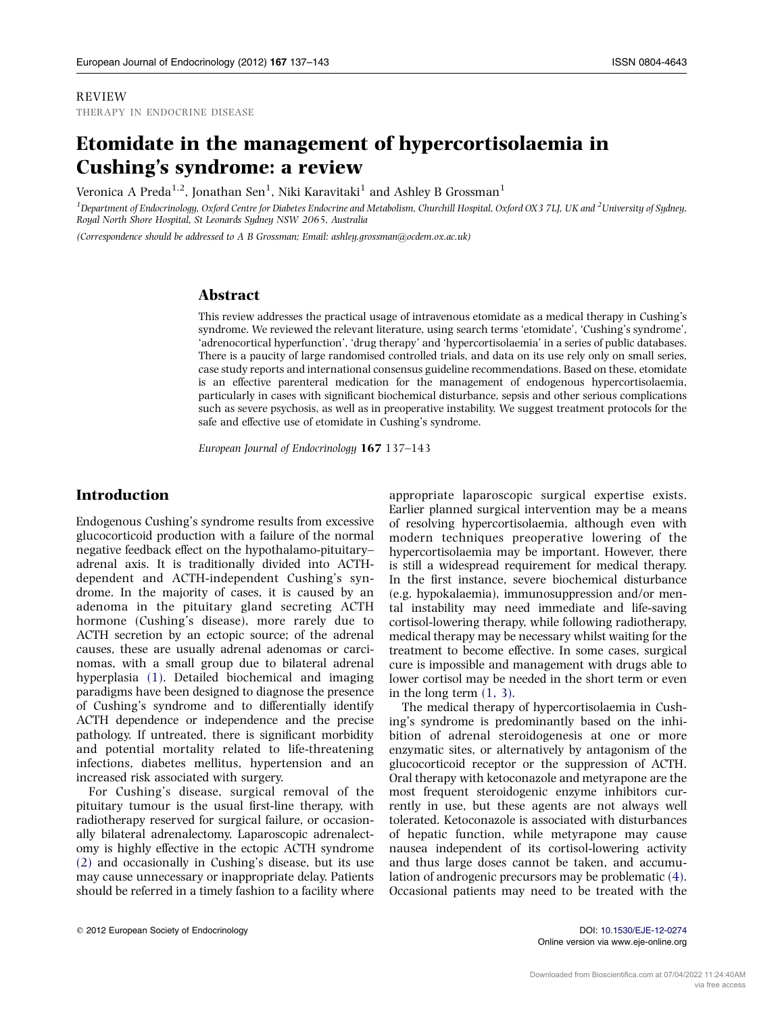#### REVIEW THERAPY IN ENDOCRINE DISEASE

# Etomidate in the management of hypercortisolaemia in Cushing's syndrome: a review

Veronica A Preda $^{1,2}$ , Jonathan Sen $^1$ , Niki Karavitaki $^1$  and Ashley B Grossman $^1$ 

<sup>1</sup> Department of Endocrinology, Oxford Centre for Diabetes Endocrine and Metabolism, Churchill Hospital, Oxford OX3 7LJ, UK and <sup>2</sup>University of Sydney, Royal North Shore Hospital, St Leonards Sydney NSW 2065, Australia

(Correspondence should be addressed to A B Grossman; Email: ashley.grossman@ocdem.ox.ac.uk)

## Abstract

This review addresses the practical usage of intravenous etomidate as a medical therapy in Cushing's syndrome. We reviewed the relevant literature, using search terms 'etomidate', 'Cushing's syndrome', 'adrenocortical hyperfunction', 'drug therapy' and 'hypercortisolaemia' in a series of public databases. There is a paucity of large randomised controlled trials, and data on its use rely only on small series, case study reports and international consensus guideline recommendations. Based on these, etomidate is an effective parenteral medication for the management of endogenous hypercortisolaemia, particularly in cases with significant biochemical disturbance, sepsis and other serious complications such as severe psychosis, as well as in preoperative instability. We suggest treatment protocols for the safe and effective use of etomidate in Cushing's syndrome.

European Journal of Endocrinology 167 137–143

# Introduction

Endogenous Cushing's syndrome results from excessive glucocorticoid production with a failure of the normal negative feedback effect on the hypothalamo-pituitary– adrenal axis. It is traditionally divided into ACTHdependent and ACTH-independent Cushing's syndrome. In the majority of cases, it is caused by an adenoma in the pituitary gland secreting ACTH hormone (Cushing's disease), more rarely due to ACTH secretion by an ectopic source; of the adrenal causes, these are usually adrenal adenomas or carcinomas, with a small group due to bilateral adrenal hyperplasia [\(1\).](#page-5-0) Detailed biochemical and imaging paradigms have been designed to diagnose the presence of Cushing's syndrome and to differentially identify ACTH dependence or independence and the precise pathology. If untreated, there is significant morbidity and potential mortality related to life-threatening infections, diabetes mellitus, hypertension and an increased risk associated with surgery.

For Cushing's disease, surgical removal of the pituitary tumour is the usual first-line therapy, with radiotherapy reserved for surgical failure, or occasionally bilateral adrenalectomy. Laparoscopic adrenalectomy is highly effective in the ectopic ACTH syndrome [\(2\)](#page-5-0) and occasionally in Cushing's disease, but its use may cause unnecessary or inappropriate delay. Patients should be referred in a timely fashion to a facility where

appropriate laparoscopic surgical expertise exists. Earlier planned surgical intervention may be a means of resolving hypercortisolaemia, although even with modern techniques preoperative lowering of the hypercortisolaemia may be important. However, there is still a widespread requirement for medical therapy. In the first instance, severe biochemical disturbance (e.g. hypokalaemia), immunosuppression and/or mental instability may need immediate and life-saving cortisol-lowering therapy, while following radiotherapy, medical therapy may be necessary whilst waiting for the treatment to become effective. In some cases, surgical cure is impossible and management with drugs able to lower cortisol may be needed in the short term or even in the long term  $(1, 3)$ .

The medical therapy of hypercortisolaemia in Cushing's syndrome is predominantly based on the inhibition of adrenal steroidogenesis at one or more enzymatic sites, or alternatively by antagonism of the glucocorticoid receptor or the suppression of ACTH. Oral therapy with ketoconazole and metyrapone are the most frequent steroidogenic enzyme inhibitors currently in use, but these agents are not always well tolerated. Ketoconazole is associated with disturbances of hepatic function, while metyrapone may cause nausea independent of its cortisol-lowering activity and thus large doses cannot be taken, and accumulation of androgenic precursors may be problematic [\(4\)](#page-5-0). Occasional patients may need to be treated with the

Online version via www.eje-online.org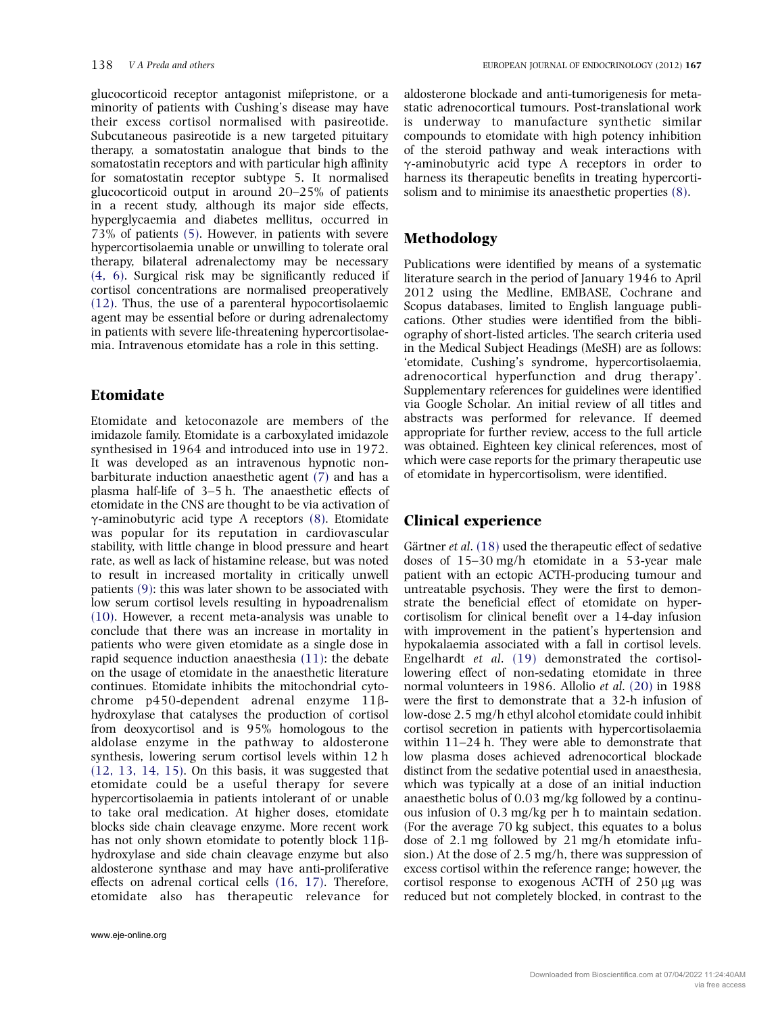glucocorticoid receptor antagonist mifepristone, or a minority of patients with Cushing's disease may have their excess cortisol normalised with pasireotide. Subcutaneous pasireotide is a new targeted pituitary therapy, a somatostatin analogue that binds to the somatostatin receptors and with particular high affinity for somatostatin receptor subtype 5. It normalised glucocorticoid output in around 20–25% of patients in a recent study, although its major side effects, hyperglycaemia and diabetes mellitus, occurred in 73% of patients [\(5\).](#page-5-0) However, in patients with severe hypercortisolaemia unable or unwilling to tolerate oral therapy, bilateral adrenalectomy may be necessary [\(4, 6\)](#page-5-0). Surgical risk may be significantly reduced if cortisol concentrations are normalised preoperatively [\(12\)](#page-6-0). Thus, the use of a parenteral hypocortisolaemic agent may be essential before or during adrenalectomy in patients with severe life-threatening hypercortisolaemia. Intravenous etomidate has a role in this setting.

## Etomidate

Etomidate and ketoconazole are members of the imidazole family. Etomidate is a carboxylated imidazole synthesised in 1964 and introduced into use in 1972. It was developed as an intravenous hypnotic nonbarbiturate induction anaesthetic agent [\(7\)](#page-5-0) and has a plasma half-life of 3–5 h. The anaesthetic effects of etomidate in the CNS are thought to be via activation of  $\gamma$ -aminobutyric acid type A receptors [\(8\).](#page-5-0) Etomidate was popular for its reputation in cardiovascular stability, with little change in blood pressure and heart rate, as well as lack of histamine release, but was noted to result in increased mortality in critically unwell patients [\(9\):](#page-5-0) this was later shown to be associated with low serum cortisol levels resulting in hypoadrenalism [\(10\)](#page-5-0). However, a recent meta-analysis was unable to conclude that there was an increase in mortality in patients who were given etomidate as a single dose in rapid sequence induction anaesthesia [\(11\):](#page-5-0) the debate on the usage of etomidate in the anaesthetic literature continues. Etomidate inhibits the mitochondrial cytochrome p450-dependent adrenal enzyme 11bhydroxylase that catalyses the production of cortisol from deoxycortisol and is 95% homologous to the aldolase enzyme in the pathway to aldosterone synthesis, lowering serum cortisol levels within 12 h [\(12, 13, 14, 15\).](#page-6-0) On this basis, it was suggested that etomidate could be a useful therapy for severe hypercortisolaemia in patients intolerant of or unable to take oral medication. At higher doses, etomidate blocks side chain cleavage enzyme. More recent work has not only shown etomidate to potently block 11ßhydroxylase and side chain cleavage enzyme but also aldosterone synthase and may have anti-proliferative effects on adrenal cortical cells [\(16, 17\)](#page-6-0). Therefore, etomidate also has therapeutic relevance for

aldosterone blockade and anti-tumorigenesis for metastatic adrenocortical tumours. Post-translational work is underway to manufacture synthetic similar compounds to etomidate with high potency inhibition of the steroid pathway and weak interactions with g-aminobutyric acid type A receptors in order to harness its therapeutic benefits in treating hypercortisolism and to minimise its anaesthetic properties [\(8\)](#page-5-0).

## Methodology

Publications were identified by means of a systematic literature search in the period of January 1946 to April 2012 using the Medline, EMBASE, Cochrane and Scopus databases, limited to English language publications. Other studies were identified from the bibliography of short-listed articles. The search criteria used in the Medical Subject Headings (MeSH) are as follows: 'etomidate, Cushing's syndrome, hypercortisolaemia, adrenocortical hyperfunction and drug therapy'. Supplementary references for guidelines were identified via Google Scholar. An initial review of all titles and abstracts was performed for relevance. If deemed appropriate for further review, access to the full article was obtained. Eighteen key clinical references, most of which were case reports for the primary therapeutic use of etomidate in hypercortisolism, were identified.

#### Clinical experience

Gärtner et al.  $(18)$  used the therapeutic effect of sedative doses of 15–30 mg/h etomidate in a 53-year male patient with an ectopic ACTH-producing tumour and untreatable psychosis. They were the first to demonstrate the beneficial effect of etomidate on hypercortisolism for clinical benefit over a 14-day infusion with improvement in the patient's hypertension and hypokalaemia associated with a fall in cortisol levels. Engelhardt et al. [\(19\)](#page-6-0) demonstrated the cortisollowering effect of non-sedating etomidate in three normal volunteers in 1986. Allolio et al. [\(20\)](#page-6-0) in 1988 were the first to demonstrate that a 32-h infusion of low-dose 2.5 mg/h ethyl alcohol etomidate could inhibit cortisol secretion in patients with hypercortisolaemia within 11–24 h. They were able to demonstrate that low plasma doses achieved adrenocortical blockade distinct from the sedative potential used in anaesthesia, which was typically at a dose of an initial induction anaesthetic bolus of 0.03 mg/kg followed by a continuous infusion of 0.3 mg/kg per h to maintain sedation. (For the average 70 kg subject, this equates to a bolus dose of 2.1 mg followed by 21 mg/h etomidate infusion.) At the dose of 2.5 mg/h, there was suppression of excess cortisol within the reference range; however, the cortisol response to exogenous ACTH of  $250 \mu$ g was reduced but not completely blocked, in contrast to the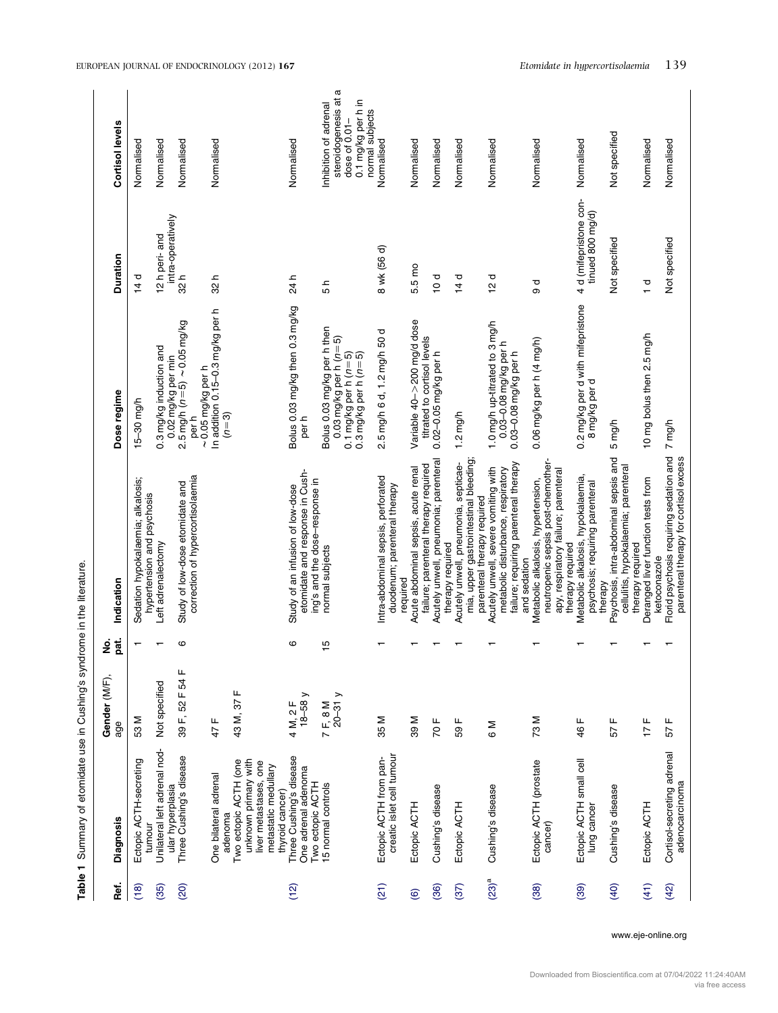<span id="page-2-0"></span>

| Table 1             | Summary of etomidate use in Cushing's syndrome in the literature                                                     |                      |                |                                                                                                                                      |                                                                                                                             |                                            |                                                                                                            |
|---------------------|----------------------------------------------------------------------------------------------------------------------|----------------------|----------------|--------------------------------------------------------------------------------------------------------------------------------------|-----------------------------------------------------------------------------------------------------------------------------|--------------------------------------------|------------------------------------------------------------------------------------------------------------|
| Ref.                | Diagnosis                                                                                                            | Gender (M/F),<br>age | pat.<br>ż      | Indication                                                                                                                           | Dose regime                                                                                                                 | Duration                                   | Cortisol levels                                                                                            |
| (18)                | Ectopic ACTH-secreting<br>tumou                                                                                      | 53 M                 |                | Sedation hypokalaemia; alkalosis;<br>hypertension and psychosis                                                                      | $15 - 30$ mg/h                                                                                                              | $\frac{1}{4}$                              | Normalised                                                                                                 |
| (35)                | Unilateral left adrenal nod-<br>ular hyperplasia                                                                     | Not specified        |                | Left adrenalectomy                                                                                                                   | 0.3 mg/kg induction and<br>0.02 mg/kg per min                                                                               | intra-operatively<br>12 h peri- and        | Normalised                                                                                                 |
| (20)                | Three Cushing's disease                                                                                              | 39 F, 52 F 54 F      | ဖ              | correction of hypercortisolaemia<br>Study of low-dose etomidate and                                                                  | $2.5 \text{ mg/h}$ $(n=5) \sim 0.05 \text{ mg/kg}$<br>$\sim$ 0.05 mg/kg per h<br>per h                                      | 32h                                        | Normalised                                                                                                 |
|                     | One bilateral adrenal<br>adenoma                                                                                     | щ<br>47              |                |                                                                                                                                      | In addition 0.15-0.3 mg/kg per h<br>$(n=3)$                                                                                 | 32h                                        | Normalised                                                                                                 |
|                     | Two ectopic ACTH (one<br>unknown primary with<br>one<br>metastatic medullary<br>liver metastases,<br>thyroid cancer) | 43 M, 37 F           |                |                                                                                                                                      |                                                                                                                             |                                            |                                                                                                            |
| (12)                | Three Cushing's disease<br>One adrenal adenoma<br>Two ectopic ACTH                                                   | $18-58y$<br>4 M, 2 F | ဖ              | etomidate and response in Cush-<br>ing's and the dose-response in<br>Study of an infusion of low-dose                                | Bolus 0.03 mg/kg then 0.3 mg/kg<br>per h                                                                                    | 24 h                                       | Normalised                                                                                                 |
|                     | 15 normal controls                                                                                                   | 7 F, 8 M<br>20-31 y  | $\frac{15}{1}$ | normal subjects                                                                                                                      | Bolus 0.03 mg/kg per h then<br>0.03 mg/kg per h $(n=5)$<br>0.1 mg/kg per h ( <i>n</i> =5)<br>0.3 mg/kg per h ( <i>n</i> =5) | 5 h                                        | a<br>steroidogenesis at<br>0.1 mg/kg per h in<br>Inhibition of adrenal<br>normal subjects<br>dose of 0.01- |
| (21)                | creatic islet cell tumour<br>Ectopic ACTH from pan-                                                                  | 35 M                 |                | Intra-abdominal sepsis, perforated<br>duodenum; parenteral therapy<br>required                                                       | 5 mg/h 6 d, 1.2 mg/h 50 d<br>۵i                                                                                             | 8 wk (56 d)                                | Normalised                                                                                                 |
| $\odot$             | Ectopic ACTH                                                                                                         | <b>M63</b>           |                | failure; parenteral therapy required<br>Acute abdominal sepsis, acute renal                                                          | Variable 40->200 mg/d dose<br>titrated to cortisol levels                                                                   | 5.5 mo                                     | Normalised                                                                                                 |
| (36)                | Cushing's disease                                                                                                    | щ<br>$\overline{5}$  |                | Acutely unwell, pneumonia; parenteral<br>therapy required                                                                            | $0.02 - 0.05$ mg/kg per h                                                                                                   | $\frac{d}{2}$                              | Normalised                                                                                                 |
| (37)                | Ectopic ACTH                                                                                                         | щ<br>59              |                | mia, upper gastrointestinal bleeding;<br>Acutely unwell, pneumonia, septicae-<br>parenteral therapy required                         | $1.2 \text{ mg/h}$                                                                                                          | 14d                                        | Normalised                                                                                                 |
| $(23)$ <sup>a</sup> | Cushing's disease                                                                                                    | © M                  |                | failure; requiring parenteral therapy<br>Acutely unwell, severe vomiting with<br>metabolic disturbance, respiratory<br>and sedation  | 1.0 mg/h up-titrated to 3 mg/h<br>0.03-0.08 mg/kg per h<br>0.03-0.08 mg/kg per h                                            | 12d                                        | Normalised                                                                                                 |
| (38)                | Ectopic ACTH (prostate<br>cancer)                                                                                    | 73 M                 |                | neutropenic sepsis post-chemother-<br>apy, respiratory failure; parenteral<br>Metabolic alkalosis, hypertension,<br>therapy required | 0.06 mg/kg per h (4 mg/h)                                                                                                   | ರ<br>೧                                     | Normalised                                                                                                 |
| (39)                | Ectopic ACTH small cell<br>lung cancer                                                                               | щ<br>46              |                | Metabolic alkalosis, hypokalaemia,<br>psychosis; requiring parenteral<br>therapy                                                     | 0.2 mg/kg per d with mifepristone<br>8 mg/kg per d                                                                          | 4 d (mifepristone con-<br>tinued 800 mg/d) | Normalised                                                                                                 |
| (40)                | Cushing's disease                                                                                                    | щ<br>57              |                | Psychosis, intra-abdominal sepsis and<br>cellulitis, hypokalaemia; parenteral<br>therapy required                                    | 5 mg/h                                                                                                                      | Not specified                              | Not specified                                                                                              |
| (41)                | Ectopic ACTH                                                                                                         | 17 F                 |                | Deranged liver function tests from<br>ketoconazole                                                                                   | 10 mg bolus then 2.5 mg/h                                                                                                   | 고                                          | Normalised                                                                                                 |
| (42)                | Cortisol-secreting adrenal<br>adenocarcinoma                                                                         | 57 $F$               |                | Florid psychosis requiring sedation and<br>parenteral therapy for cortisol excess                                                    | 7 mg/h                                                                                                                      | Not specified                              | Normalised                                                                                                 |

www.eje-online.org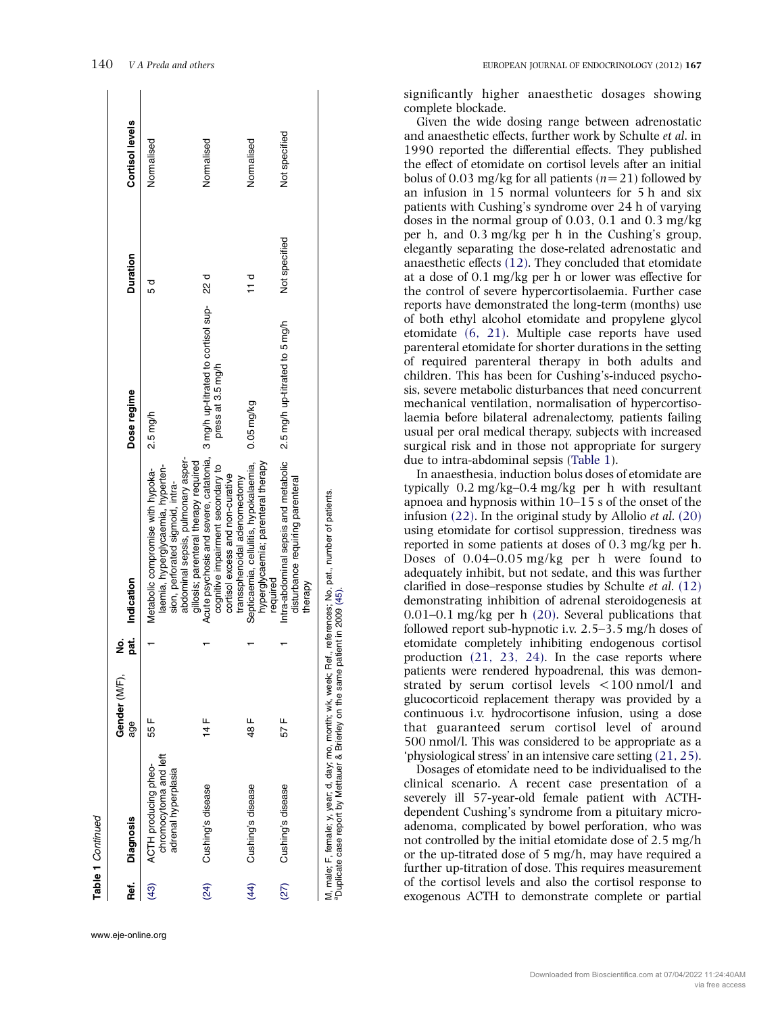| Ref. | <b>Diagnosis</b>                                                     | Gender (M/F).<br>аgе | pat.<br>ż | Indication                                                                                                                                                                                | Dose regime                    | <b>Duration</b> | Cortisol levels |
|------|----------------------------------------------------------------------|----------------------|-----------|-------------------------------------------------------------------------------------------------------------------------------------------------------------------------------------------|--------------------------------|-----------------|-----------------|
|      |                                                                      |                      |           |                                                                                                                                                                                           |                                |                 |                 |
| (43) | chromocytoma and left<br>ACTH producing pheo-<br>adrenal hyperplasia | 55 F                 |           | abdominal sepsis, pulmonary asper-<br>gillosis; parenteral therapy required<br>laemia, hyperglycaemia, hyperten-<br>Metabolic compromise with hypoka-<br>sion, perforated sigmoid, intra- | 2.5 mg/h                       | 55              | Normalised      |
| (24) | Cushing's disease                                                    | 14 F                 |           | Acute psychosis and severe, catatonia, 3 mg/h up-titrated to cortisol sup-<br>cognitive impairment secondary to<br>cortisol excess and non-curative<br>transsphenoidal adenomectomy       | press at 3.5 mg/h              | d<br>22         | Normalised      |
| (44) | Cushing's disease                                                    | 48 F                 |           | hyperglycaemia; parenteral therapy<br>Septicaemia, cellulitis, hypokalaemia,<br>required                                                                                                  | $0.05$ mg/kg                   | ਰ<br>11         | Normalised      |
| (27) | Cushing's disease                                                    | 57 F                 |           | Intra-abdominal sepsis and metabolic<br>disturbance requiring parenteral<br>therapy                                                                                                       | 2.5 mg/h up-titrated to 5 mg/h | Not specified   | Not specified   |

140 V A Preda and others EUROPEAN JOURNAL OF ENDOCRINOLOGY (2012) <sup>167</sup>

significantly higher anaesthetic dosages showing complete blockade.

Given the wide dosing range between adrenostatic and anaesthetic effects, further work by Schulte et al. in 1990 reported the differential effects. They published the effect of etomidate on cortisol levels after an initial bolus of 0.03 mg/kg for all patients  $(n=21)$  followed by an infusion in 15 normal volunteers for 5 h and six patients with Cushing's syndrome over 24 h of varying doses in the normal group of 0.03, 0.1 and 0.3 mg/kg per h, and 0.3 mg/kg per h in the Cushing's group, elegantly separating the dose-related adrenostatic and anaesthetic effects [\(12\)](#page-6-0). They concluded that etomidate at a dose of 0.1 mg/kg per h or lower was effective for the control of severe hypercortisolaemia. Further case reports have demonstrated the long-term (months) use of both ethyl alcohol etomidate and propylene glycol etomidate [\(6, 21\)](#page-5-0). Multiple case reports have used parenteral etomidate for shorter durations in the setting of required parenteral therapy in both adults and children. This has been for Cushing's-induced psychosis, severe metabolic disturbances that need concurrent mechanical ventilation, normalisation of hypercortisolaemia before bilateral adrenalectomy, patients failing usual per oral medical therapy, subjects with increased surgical risk and in those not appropriate for surgery due to intra-abdominal sepsis [\(Table 1\)](#page-2-0).

In anaesthesia, induction bolus doses of etomidate are typically 0.2 mg/kg–0.4 mg/kg per h with resultant apnoea and hypnosis within 10–15 s of the onset of the infusion  $(22)$ . In the original study by Allolio *et al.*  $(20)$ using etomidate for cortisol suppression, tiredness was reported in some patients at doses of 0.3 mg/kg per h. Doses of 0.04–0.05 mg/kg per h were found to adequately inhibit, but not sedate, and this was further clarified in dose–response studies by Schulte et al. [\(12\)](#page-6-0) demonstrating inhibition of adrenal steroidogenesis at 0.01–0.1 mg/kg per h [\(20\)](#page-6-0). Several publications that followed report sub-hypnotic i.v. 2.5–3.5 mg/h doses of etomidate completely inhibiting endogenous cortisol production [\(21, 23, 24\)](#page-6-0). In the case reports where patients were rendered hypoadrenal, this was demonstrated by serum cortisol levels  $\langle 100 \text{ nmol/l} \rangle$  and glucocorticoid replacement therapy was provided by a continuous i.v. hydrocortisone infusion, using a dose that guaranteed serum cortisol level of around 500 nmol/l. This was considered to be appropriate as a 'physiological stress' in an intensive care setting [\(21, 25\).](#page-6-0)

Dosages of etomidate need to be individualised to the clinical scenario. A recent case presentation of a severely ill 57-year-old female patient with ACTHdependent Cushing's syndrome from a pituitary microadenoma, complicated by bowel perforation, who was not controlled by the initial etomidate dose of 2.5 mg/h or the up-titrated dose of 5 mg/h, may have required a further up-titration of dose. This requires measurement of the cortisol levels and also the cortisol response to exogenous ACTH to demonstrate complete or partial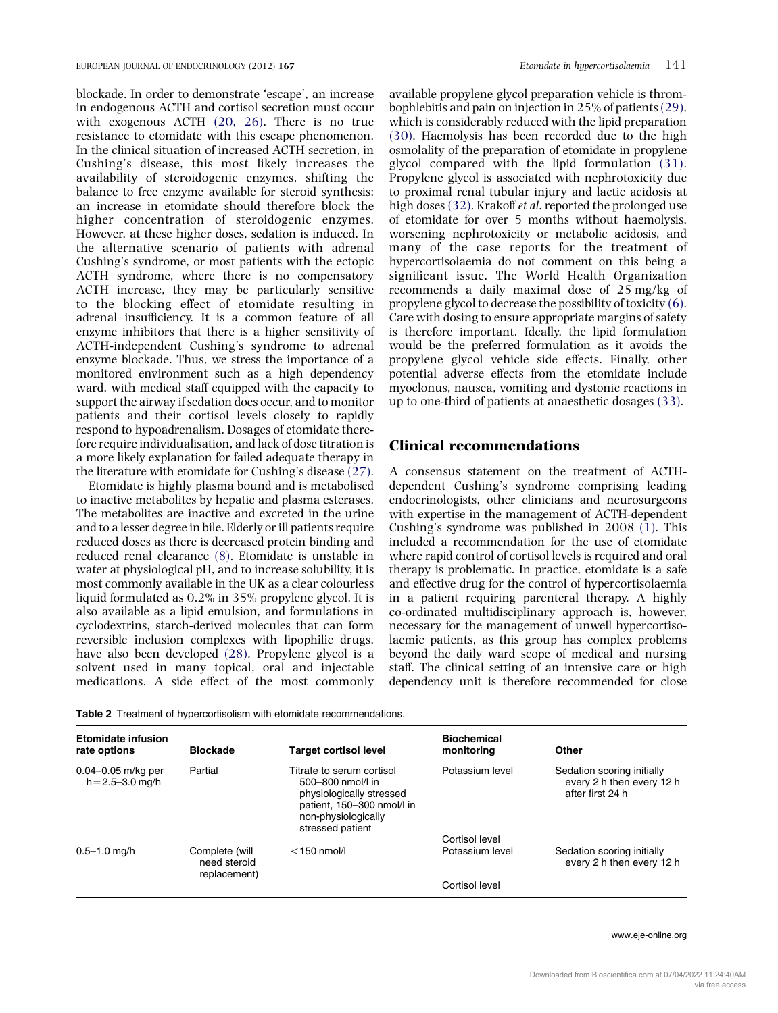<span id="page-4-0"></span>blockade. In order to demonstrate 'escape', an increase in endogenous ACTH and cortisol secretion must occur with exogenous ACTH [\(20, 26\)](#page-6-0). There is no true resistance to etomidate with this escape phenomenon. In the clinical situation of increased ACTH secretion, in Cushing's disease, this most likely increases the availability of steroidogenic enzymes, shifting the balance to free enzyme available for steroid synthesis: an increase in etomidate should therefore block the higher concentration of steroidogenic enzymes. However, at these higher doses, sedation is induced. In the alternative scenario of patients with adrenal Cushing's syndrome, or most patients with the ectopic ACTH syndrome, where there is no compensatory ACTH increase, they may be particularly sensitive to the blocking effect of etomidate resulting in adrenal insufficiency. It is a common feature of all enzyme inhibitors that there is a higher sensitivity of ACTH-independent Cushing's syndrome to adrenal enzyme blockade. Thus, we stress the importance of a monitored environment such as a high dependency ward, with medical staff equipped with the capacity to support the airway if sedation does occur, and to monitor patients and their cortisol levels closely to rapidly respond to hypoadrenalism. Dosages of etomidate therefore require individualisation, and lack of dose titration is a more likely explanation for failed adequate therapy in the literature with etomidate for Cushing's disease [\(27\)](#page-6-0).

Etomidate is highly plasma bound and is metabolised to inactive metabolites by hepatic and plasma esterases. The metabolites are inactive and excreted in the urine and to a lesser degree in bile. Elderly or ill patients require reduced doses as there is decreased protein binding and reduced renal clearance [\(8\)](#page-5-0). Etomidate is unstable in water at physiological pH, and to increase solubility, it is most commonly available in the UK as a clear colourless liquid formulated as 0.2% in 35% propylene glycol. It is also available as a lipid emulsion, and formulations in cyclodextrins, starch-derived molecules that can form reversible inclusion complexes with lipophilic drugs, have also been developed [\(28\).](#page-6-0) Propylene glycol is a solvent used in many topical, oral and injectable medications. A side effect of the most commonly available propylene glycol preparation vehicle is thrombophlebitis and pain on injection in 25% of patients[\(29\)](#page-6-0), which is considerably reduced with the lipid preparation [\(30\).](#page-6-0) Haemolysis has been recorded due to the high osmolality of the preparation of etomidate in propylene glycol compared with the lipid formulation [\(31\)](#page-6-0). Propylene glycol is associated with nephrotoxicity due to proximal renal tubular injury and lactic acidosis at high doses [\(32\).](#page-6-0) Krakoff *et al.* reported the prolonged use of etomidate for over 5 months without haemolysis, worsening nephrotoxicity or metabolic acidosis, and many of the case reports for the treatment of hypercortisolaemia do not comment on this being a significant issue. The World Health Organization recommends a daily maximal dose of 25 mg/kg of propylene glycol to decrease the possibility of toxicity [\(6\)](#page-5-0). Care with dosing to ensure appropriate margins of safety is therefore important. Ideally, the lipid formulation would be the preferred formulation as it avoids the propylene glycol vehicle side effects. Finally, other potential adverse effects from the etomidate include myoclonus, nausea, vomiting and dystonic reactions in up to one-third of patients at anaesthetic dosages [\(33\).](#page-6-0)

## Clinical recommendations

A consensus statement on the treatment of ACTHdependent Cushing's syndrome comprising leading endocrinologists, other clinicians and neurosurgeons with expertise in the management of ACTH-dependent Cushing's syndrome was published in 2008 [\(1\)](#page-5-0). This included a recommendation for the use of etomidate where rapid control of cortisol levels is required and oral therapy is problematic. In practice, etomidate is a safe and effective drug for the control of hypercortisolaemia in a patient requiring parenteral therapy. A highly co-ordinated multidisciplinary approach is, however, necessary for the management of unwell hypercortisolaemic patients, as this group has complex problems beyond the daily ward scope of medical and nursing staff. The clinical setting of an intensive care or high dependency unit is therefore recommended for close

| <b>Etomidate infusion</b><br>rate options      | <b>Blockade</b>                                | <b>Target cortisol level</b>                                                                                                                        | <b>Biochemical</b><br>monitoring | Other                                                                       |
|------------------------------------------------|------------------------------------------------|-----------------------------------------------------------------------------------------------------------------------------------------------------|----------------------------------|-----------------------------------------------------------------------------|
| $0.04 - 0.05$ m/kg per<br>$h = 2.5 - 3.0$ mg/h | Partial                                        | Titrate to serum cortisol<br>500-800 nmol/l in<br>physiologically stressed<br>patient, 150-300 nmol/l in<br>non-physiologically<br>stressed patient | Potassium level                  | Sedation scoring initially<br>every 2 h then every 12 h<br>after first 24 h |
|                                                |                                                |                                                                                                                                                     | Cortisol level                   |                                                                             |
| $0.5 - 1.0$ mg/h                               | Complete (will<br>need steroid<br>replacement) | $<$ 150 nmol/l                                                                                                                                      | Potassium level                  | Sedation scoring initially<br>every 2 h then every 12 h                     |
|                                                |                                                |                                                                                                                                                     | Cortisol level                   |                                                                             |

www.eje-online.org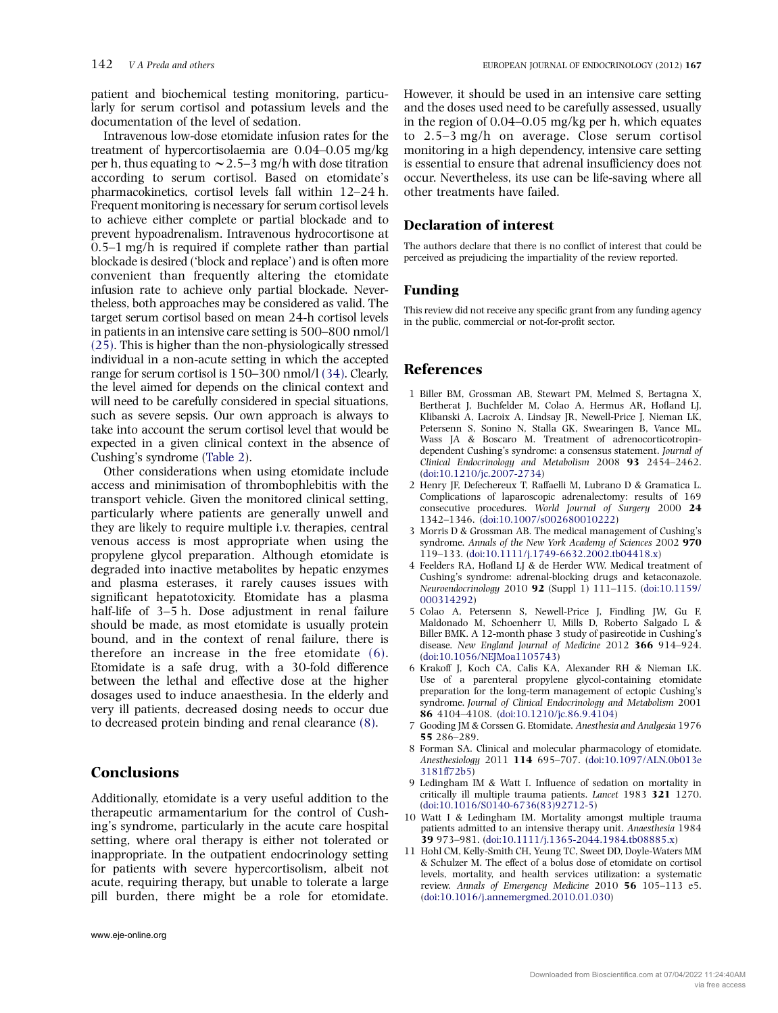<span id="page-5-0"></span>patient and biochemical testing monitoring, particularly for serum cortisol and potassium levels and the documentation of the level of sedation.

Intravenous low-dose etomidate infusion rates for the treatment of hypercortisolaemia are 0.04–0.05 mg/kg per h, thus equating to  $\sim$  2.5–3 mg/h with dose titration according to serum cortisol. Based on etomidate's pharmacokinetics, cortisol levels fall within 12–24 h. Frequent monitoring is necessary for serum cortisol levels to achieve either complete or partial blockade and to prevent hypoadrenalism. Intravenous hydrocortisone at 0.5–1 mg/h is required if complete rather than partial blockade is desired ('block and replace') and is often more convenient than frequently altering the etomidate infusion rate to achieve only partial blockade. Nevertheless, both approaches may be considered as valid. The target serum cortisol based on mean 24-h cortisol levels in patients in an intensive care setting is 500–800 nmol/l [\(25\).](#page-6-0) This is higher than the non-physiologically stressed individual in a non-acute setting in which the accepted range for serum cortisol is 150–300 nmol/l [\(34\).](#page-6-0) Clearly, the level aimed for depends on the clinical context and will need to be carefully considered in special situations, such as severe sepsis. Our own approach is always to take into account the serum cortisol level that would be expected in a given clinical context in the absence of Cushing's syndrome [\(Table 2\)](#page-4-0).

Other considerations when using etomidate include access and minimisation of thrombophlebitis with the transport vehicle. Given the monitored clinical setting, particularly where patients are generally unwell and they are likely to require multiple i.v. therapies, central venous access is most appropriate when using the propylene glycol preparation. Although etomidate is degraded into inactive metabolites by hepatic enzymes and plasma esterases, it rarely causes issues with significant hepatotoxicity. Etomidate has a plasma half-life of 3–5 h. Dose adjustment in renal failure should be made, as most etomidate is usually protein bound, and in the context of renal failure, there is therefore an increase in the free etomidate (6). Etomidate is a safe drug, with a 30-fold difference between the lethal and effective dose at the higher dosages used to induce anaesthesia. In the elderly and very ill patients, decreased dosing needs to occur due to decreased protein binding and renal clearance (8).

## **Conclusions**

Additionally, etomidate is a very useful addition to the therapeutic armamentarium for the control of Cushing's syndrome, particularly in the acute care hospital setting, where oral therapy is either not tolerated or inappropriate. In the outpatient endocrinology setting for patients with severe hypercortisolism, albeit not acute, requiring therapy, but unable to tolerate a large pill burden, there might be a role for etomidate.

However, it should be used in an intensive care setting and the doses used need to be carefully assessed, usually in the region of 0.04–0.05 mg/kg per h, which equates to 2.5–3 mg/h on average. Close serum cortisol monitoring in a high dependency, intensive care setting is essential to ensure that adrenal insufficiency does not occur. Nevertheless, its use can be life-saving where all other treatments have failed.

#### Declaration of interest

The authors declare that there is no conflict of interest that could be perceived as prejudicing the impartiality of the review reported.

#### Funding

This review did not receive any specific grant from any funding agency in the public, commercial or not-for-profit sector.

## **References**

- 1 Biller BM, Grossman AB, Stewart PM, Melmed S, Bertagna X, Bertherat J, Buchfelder M, Colao A, Hermus AR, Hofland LJ, Klibanski A, Lacroix A, Lindsay JR, Newell-Price J, Nieman LK, Petersenn S, Sonino N, Stalla GK, Swearingen B, Vance ML, Wass JA & Boscaro M. Treatment of adrenocorticotropindependent Cushing's syndrome: a consensus statement. Journal of Clinical Endocrinology and Metabolism 2008 93 2454–2462. [\(doi:10.1210/jc.2007-2734\)](http://dx.doi.org/10.1210/jc.2007-2734)
- 2 Henry JF, Defechereux T, Raffaelli M, Lubrano D & Gramatica L. Complications of laparoscopic adrenalectomy: results of 169 consecutive procedures. World Journal of Surgery 2000 24 1342–1346. [\(doi:10.1007/s002680010222](http://dx.doi.org/10.1007/s002680010222))
- 3 Morris D & Grossman AB. The medical management of Cushing's syndrome. Annals of the New York Academy of Sciences 2002 970 119–133. ([doi:10.1111/j.1749-6632.2002.tb04418.x](http://dx.doi.org/10.1111/j.1749-6632.2002.tb04418.x))
- 4 Feelders RA, Hofland LJ & de Herder WW. Medical treatment of Cushing's syndrome: adrenal-blocking drugs and ketaconazole. Neuroendocrinology 2010 92 (Suppl 1) 111–115. [\(doi:10.1159/](http://dx.doi.org/10.1159/000314292) [000314292\)](http://dx.doi.org/10.1159/000314292)
- 5 Colao A, Petersenn S, Newell-Price J, Findling JW, Gu F, Maldonado M, Schoenherr U, Mills D, Roberto Salgado L & Biller BMK. A 12-month phase 3 study of pasireotide in Cushing's disease. New England Journal of Medicine 2012 366 914–924. [\(doi:10.1056/NEJMoa1105743](http://dx.doi.org/10.1056/NEJMoa1105743))
- 6 Krakoff J, Koch CA, Calis KA, Alexander RH & Nieman LK. Use of a parenteral propylene glycol-containing etomidate preparation for the long-term management of ectopic Cushing's syndrome. Journal of Clinical Endocrinology and Metabolism 2001 86 4104–4108. ([doi:10.1210/jc.86.9.4104](http://dx.doi.org/10.1210/jc.86.9.4104))
- 7 Gooding JM & Corssen G. Etomidate. Anesthesia and Analgesia 1976 55 286–289.
- 8 Forman SA. Clinical and molecular pharmacology of etomidate. Anesthesiology 2011 114 695–707. ([doi:10.1097/ALN.0b013e](http://dx.doi.org/10.1097/ALN.0b013e3181ff72b5) [3181ff72b5](http://dx.doi.org/10.1097/ALN.0b013e3181ff72b5))
- 9 Ledingham IM & Watt I. Influence of sedation on mortality in critically ill multiple trauma patients. Lancet 1983 321 1270. [\(doi:10.1016/S0140-6736\(83\)92712-5](http://dx.doi.org/10.1016/S0140-6736(83)92712-5))
- 10 Watt I & Ledingham IM. Mortality amongst multiple trauma patients admitted to an intensive therapy unit. Anaesthesia 1984 39 973–981. ([doi:10.1111/j.1365-2044.1984.tb08885.x](http://dx.doi.org/10.1111/j.1365-2044.1984.tb08885.x))
- 11 Hohl CM, Kelly-Smith CH, Yeung TC, Sweet DD, Doyle-Waters MM & Schulzer M. The effect of a bolus dose of etomidate on cortisol levels, mortality, and health services utilization: a systematic review. Annals of Emergency Medicine 2010 56 105–113 e5. [\(doi:10.1016/j.annemergmed.2010.01.030\)](http://dx.doi.org/10.1016/j.annemergmed.2010.01.030)